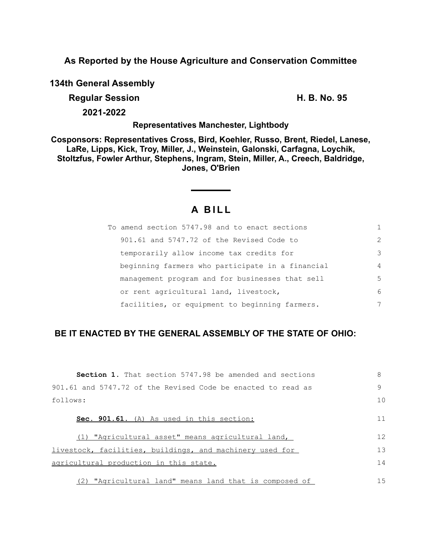**As Reported by the House Agriculture and Conservation Committee**

**134th General Assembly**

**Regular Session H. B. No. 95**

**2021-2022**

**Representatives Manchester, Lightbody**

**Cosponsors: Representatives Cross, Bird, Koehler, Russo, Brent, Riedel, Lanese, LaRe, Lipps, Kick, Troy, Miller, J., Weinstein, Galonski, Carfagna, Loychik, Stoltzfus, Fowler Arthur, Stephens, Ingram, Stein, Miller, A., Creech, Baldridge, Jones, O'Brien**

# **A B I L L**

| To amend section 5747.98 and to enact sections   |                |
|--------------------------------------------------|----------------|
| 901.61 and 5747.72 of the Revised Code to        | $\mathcal{L}$  |
| temporarily allow income tax credits for         | 3              |
| beginning farmers who participate in a financial | $\overline{4}$ |
| management program and for businesses that sell  | 5              |
| or rent agricultural land, livestock,            | 6              |
| facilities, or equipment to beginning farmers.   | 7              |

## **BE IT ENACTED BY THE GENERAL ASSEMBLY OF THE STATE OF OHIO:**

| <b>Section 1.</b> That section 5747.98 be amended and sections | 8  |
|----------------------------------------------------------------|----|
| 901.61 and 5747.72 of the Revised Code be enacted to read as   | 9  |
| follows:                                                       | 10 |
| Sec. 901.61. (A) As used in this section:                      | 11 |
| (1) "Agricultural asset" means agricultural land,              | 12 |
| livestock, facilities, buildings, and machinery used for       | 13 |
| agricultural production in this state.                         | 14 |
| (2) "Agricultural land" means land that is composed of         | 15 |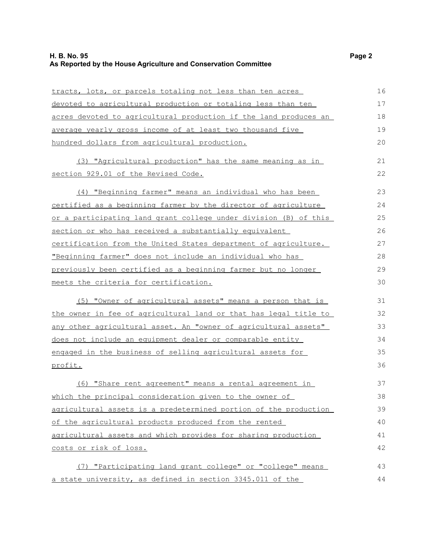### **H. B. No. 95 Page 2 As Reported by the House Agriculture and Conservation Committee**

| tracts, lots, or parcels totaling not less than ten acres        | 16 |
|------------------------------------------------------------------|----|
| devoted to agricultural production or totaling less than ten     | 17 |
| acres devoted to agricultural production if the land produces an | 18 |
| average yearly gross income of at least two thousand five        | 19 |
| hundred dollars from agricultural production.                    | 20 |
| (3) "Agricultural production" has the same meaning as in         | 21 |
| section 929.01 of the Revised Code.                              | 22 |
| (4) "Beginning farmer" means an individual who has been          | 23 |
| certified as a beginning farmer by the director of agriculture   | 24 |
| or a participating land grant college under division (B) of this | 25 |
| section or who has received a substantially equivalent           | 26 |
| certification from the United States department of agriculture.  | 27 |
| "Beginning farmer" does not include an individual who has        | 28 |
| previously been certified as a beginning farmer but no longer    | 29 |
| meets the criteria for certification.                            | 30 |
| (5) "Owner of agricultural assets" means a person that is        | 31 |
| the owner in fee of agricultural land or that has legal title to | 32 |
| any other agricultural asset. An "owner of agricultural assets"  | 33 |
| does not include an equipment dealer or comparable entity        | 34 |
| engaged in the business of selling agricultural assets for       | 35 |
| profit.                                                          | 36 |
| (6) "Share rent agreement" means a rental agreement in           | 37 |
| which the principal consideration given to the owner of          | 38 |
| agricultural assets is a predetermined portion of the production | 39 |
| of the agricultural products produced from the rented            | 40 |
| agricultural assets and which provides for sharing production    | 41 |
| costs or risk of loss.                                           | 42 |
| (7) "Participating land grant college" or "college" means        | 43 |
| a state university, as defined in section 3345.011 of the        | 44 |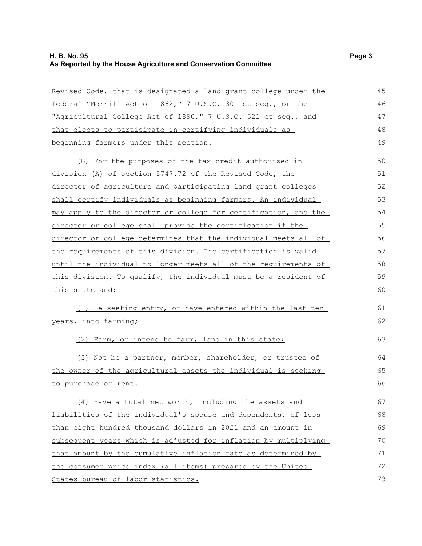| Revised Code, that is designated a land grant college under the | 45 |
|-----------------------------------------------------------------|----|
| federal "Morrill Act of 1862," 7 U.S.C. 301 et seq., or the     | 46 |
| "Agricultural College Act of 1890," 7 U.S.C. 321 et seq., and   | 47 |
| that elects to participate in certifying individuals as         | 48 |
| beginning farmers under this section.                           | 49 |
| (B) For the purposes of the tax credit authorized in            | 50 |
| division (A) of section 5747.72 of the Revised Code, the        | 51 |
| director of agriculture and participating land grant colleges   | 52 |
| shall certify individuals as beginning farmers. An individual   | 53 |
| may apply to the director or college for certification, and the | 54 |
| director or college shall provide the certification if the      | 55 |
| director or college determines that the individual meets all of | 56 |
| the requirements of this division. The certification is valid   | 57 |
| until the individual no longer meets all of the requirements of | 58 |
| this division. To qualify, the individual must be a resident of | 59 |
| <u>this state and:</u>                                          | 60 |
| (1) Be seeking entry, or have entered within the last ten       | 61 |
| years, into farming;                                            | 62 |
| (2) Farm, or intend to farm, land in this state;                | 63 |
| (3) Not be a partner, member, shareholder, or trustee of        | 64 |
| the owner of the agricultural assets the individual is seeking  | 65 |
| to purchase or rent.                                            | 66 |
| (4) Have a total net worth, including the assets and            | 67 |
| liabilities of the individual's spouse and dependents, of less  | 68 |
| than eight hundred thousand dollars in 2021 and an amount in    | 69 |
| subsequent years which is adjusted for inflation by multiplying | 70 |
| that amount by the cumulative inflation rate as determined by   | 71 |
| the consumer price index (all items) prepared by the United     | 72 |
| States bureau of labor statistics.                              | 73 |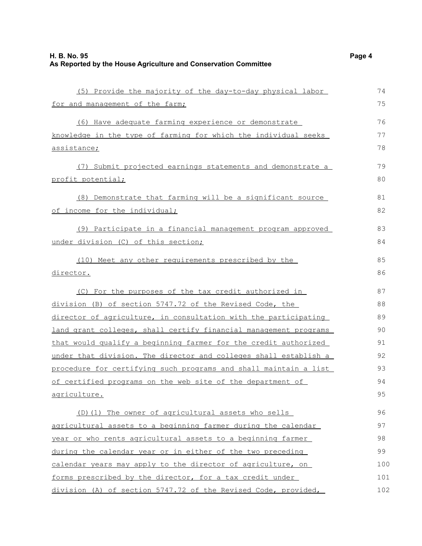|--|--|--|

| (5) Provide the majority of the day-to-day physical labor        | 74  |
|------------------------------------------------------------------|-----|
| for and management of the farm;                                  | 75  |
| (6) Have adequate farming experience or demonstrate              | 76  |
| knowledge in the type of farming for which the individual seeks  | 77  |
| assistance;                                                      | 78  |
|                                                                  |     |
| (7) Submit projected earnings statements and demonstrate a       | 79  |
| profit potential;                                                | 80  |
| (8) Demonstrate that farming will be a significant source        | 81  |
| of income for the individual;                                    | 82  |
| (9) Participate in a financial management program approved       | 83  |
| under division (C) of this section;                              | 84  |
| (10) Meet any other requirements prescribed by the               | 85  |
| director.                                                        | 86  |
| (C) For the purposes of the tax credit authorized in             | 87  |
| division (B) of section 5747.72 of the Revised Code, the         | 88  |
| director of agriculture, in consultation with the participating  | 89  |
| land grant colleges, shall certify financial management programs | 90  |
| that would qualify a beginning farmer for the credit authorized  | 91  |
| under that division. The director and colleges shall establish a | 92  |
| procedure for certifying such programs and shall maintain a list | 93  |
| of certified programs on the web site of the department of       | 94  |
| <u>agriculture.</u>                                              | 95  |
| (D) (1) The owner of agricultural assets who sells               | 96  |
| agricultural assets to a beginning farmer during the calendar    | 97  |
| year or who rents agricultural assets to a beginning farmer      | 98  |
| during the calendar year or in either of the two preceding       | 99  |
| calendar years may apply to the director of agriculture, on      | 100 |
| forms prescribed by the director, for a tax credit under         | 101 |
| division (A) of section 5747.72 of the Revised Code, provided,   | 102 |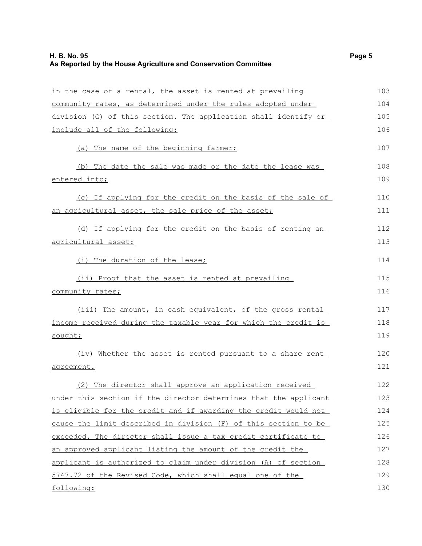| in the case of a rental, the asset is rented at prevailing       | 103 |
|------------------------------------------------------------------|-----|
| community rates, as determined under the rules adopted under     | 104 |
| division (G) of this section. The application shall identify or  | 105 |
| include all of the following:                                    | 106 |
| (a) The name of the beginning farmer;                            | 107 |
| (b) The date the sale was made or the date the lease was         | 108 |
| entered into;                                                    | 109 |
| (c) If applying for the credit on the basis of the sale of       | 110 |
| an agricultural asset, the sale price of the asset;              | 111 |
| (d) If applying for the credit on the basis of renting an        | 112 |
| agricultural asset:                                              | 113 |
| (i) The duration of the lease;                                   | 114 |
| (ii) Proof that the asset is rented at prevailing                | 115 |
| community rates;                                                 | 116 |
| (iii) The amount, in cash equivalent, of the gross rental        | 117 |
| income received during the taxable year for which the credit is  | 118 |
| sought;                                                          | 119 |
| (iv) Whether the asset is rented pursuant to a share rent        | 120 |
| agreement.                                                       | 121 |
| (2) The director shall approve an application received           | 122 |
| under this section if the director determines that the applicant | 123 |
| is eligible for the credit and if awarding the credit would not  | 124 |
| cause the limit described in division (F) of this section to be  | 125 |
| exceeded. The director shall issue a tax credit certificate to   | 126 |
| an approved applicant listing the amount of the credit the       | 127 |
| applicant is authorized to claim under division (A) of section   | 128 |
| 5747.72 of the Revised Code, which shall equal one of the        | 129 |
| following:                                                       | 130 |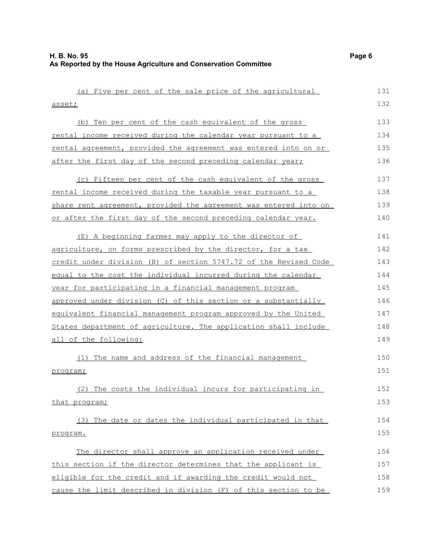| (a) Five per cent of the sale price of the agricultural          | 131 |
|------------------------------------------------------------------|-----|
| asset;                                                           | 132 |
| (b) Ten per cent of the cash equivalent of the gross             | 133 |
| rental income received during the calendar year pursuant to a    | 134 |
| rental agreement, provided the agreement was entered into on or  | 135 |
| after the first day of the second preceding calendar year;       | 136 |
| (c) Fifteen per cent of the cash equivalent of the gross         | 137 |
| rental income received during the taxable year pursuant to a     | 138 |
| share rent agreement, provided the agreement was entered into on | 139 |
| or after the first day of the second preceding calendar year.    | 140 |
| (E) A beginning farmer may apply to the director of              | 141 |
| agriculture, on forms prescribed by the director, for a tax      | 142 |
| credit under division (B) of section 5747.72 of the Revised Code | 143 |
| equal to the cost the individual incurred during the calendar    | 144 |
| year for participating in a financial management program         | 145 |
| approved under division (C) of this section or a substantially   | 146 |
| equivalent financial management program approved by the United   | 147 |
| States department of agriculture. The application shall include  | 148 |
| all of the following:                                            | 149 |
| The name and address of the financial management<br>(1)          | 150 |
| program;                                                         | 151 |
| (2) The costs the individual incurs for participating in         | 152 |
| that program;                                                    | 153 |
| (3) The date or dates the individual participated in that        | 154 |
| program.                                                         | 155 |
| The director shall approve an application received under         | 156 |
| this section if the director determines that the applicant is    | 157 |
| eligible for the credit and if awarding the credit would not     | 158 |
| cause the limit described in division (F) of this section to be  | 159 |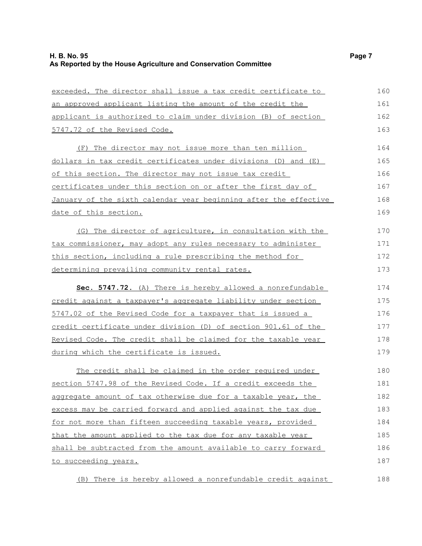| exceeded. The director shall issue a tax credit certificate to   | 160 |
|------------------------------------------------------------------|-----|
| an approved applicant listing the amount of the credit the       | 161 |
| applicant is authorized to claim under division (B) of section   | 162 |
| 5747.72 of the Revised Code.                                     | 163 |
| (F) The director may not issue more than ten million             | 164 |
| dollars in tax credit certificates under divisions (D) and (E)   | 165 |
| of this section. The director may not issue tax credit           | 166 |
| certificates under this section on or after the first day of     | 167 |
| January of the sixth calendar year beginning after the effective | 168 |
| date of this section.                                            | 169 |
| (G) The director of agriculture, in consultation with the        | 170 |
| tax commissioner, may adopt any rules necessary to administer    | 171 |
| this section, including a rule prescribing the method for        | 172 |
| determining prevailing community rental rates.                   | 173 |
| Sec. 5747.72. (A) There is hereby allowed a nonrefundable        | 174 |
| credit against a taxpayer's aggregate liability under section    | 175 |
| 5747.02 of the Revised Code for a taxpayer that is issued a      | 176 |
| credit certificate under division (D) of section 901.61 of the   | 177 |
| Revised Code. The credit shall be claimed for the taxable year   | 178 |
| during which the certificate is issued.                          | 179 |
| The credit shall be claimed in the order required under          | 180 |
| section 5747.98 of the Revised Code. If a credit exceeds the     | 181 |
| aggregate amount of tax otherwise due for a taxable year, the    | 182 |
| excess may be carried forward and applied against the tax due    | 183 |
| for not more than fifteen succeeding taxable years, provided     | 184 |
| that the amount applied to the tax due for any taxable year      | 185 |
| shall be subtracted from the amount available to carry forward   | 186 |
| to succeeding years.                                             | 187 |
| (B) There is hereby allowed a nonrefundable credit against       | 188 |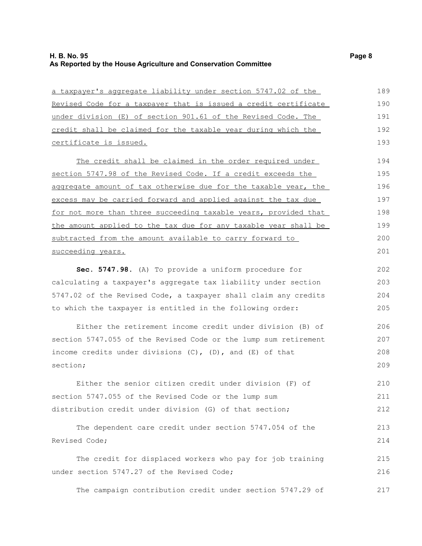#### **H. B. No. 95 Page 8 As Reported by the House Agriculture and Conservation Committee**

| a taxpayer's aggregate liability under section 5747.02 of the    | 189 |
|------------------------------------------------------------------|-----|
| Revised Code for a taxpayer that is issued a credit certificate  | 190 |
| under division (E) of section 901.61 of the Revised Code. The    | 191 |
| credit shall be claimed for the taxable year during which the    | 192 |
| certificate is issued.                                           | 193 |
| The credit shall be claimed in the order required under          | 194 |
| section 5747.98 of the Revised Code. If a credit exceeds the     | 195 |
| aggregate amount of tax otherwise due for the taxable year, the  | 196 |
| excess may be carried forward and applied against the tax due    | 197 |
| for not more than three succeeding taxable years, provided that  | 198 |
| the amount applied to the tax due for any taxable year shall be  | 199 |
| subtracted from the amount available to carry forward to         | 200 |
| succeeding years.                                                | 201 |
| Sec. 5747.98. (A) To provide a uniform procedure for             | 202 |
| calculating a taxpayer's aggregate tax liability under section   | 203 |
| 5747.02 of the Revised Code, a taxpayer shall claim any credits  | 204 |
| to which the taxpayer is entitled in the following order:        | 205 |
| Either the retirement income credit under division (B) of        | 206 |
| section 5747.055 of the Revised Code or the lump sum retirement  | 207 |
| income credits under divisions $(C)$ , $(D)$ , and $(E)$ of that | 208 |
| section;                                                         | 209 |
| Either the senior citizen credit under division (F) of           | 210 |
| section 5747.055 of the Revised Code or the lump sum             | 211 |
| distribution credit under division (G) of that section;          | 212 |
| The dependent care credit under section 5747.054 of the          | 213 |
| Revised Code;                                                    | 214 |
| The credit for displaced workers who pay for job training        | 215 |
| under section 5747.27 of the Revised Code;                       | 216 |
| The campaign contribution credit under section 5747.29 of        | 217 |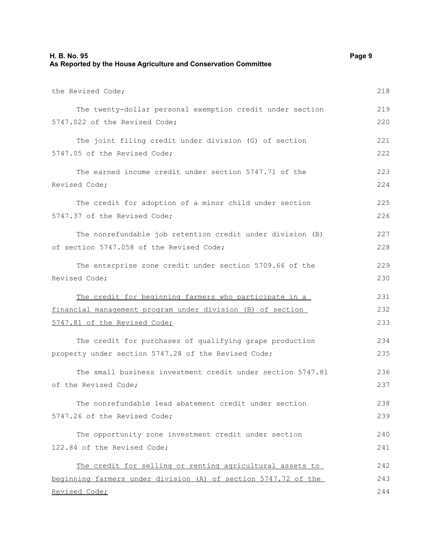| H. B. No. 95<br>As Reported by the House Agriculture and Conservation Committee |     |
|---------------------------------------------------------------------------------|-----|
| the Revised Code;                                                               | 218 |
| The twenty-dollar personal exemption credit under section                       | 219 |
| 5747.022 of the Revised Code;                                                   | 220 |
| The joint filing credit under division (G) of section                           | 221 |
| 5747.05 of the Revised Code;                                                    | 222 |
| The earned income credit under section 5747.71 of the                           | 223 |
| Revised Code;                                                                   | 224 |
| The credit for adoption of a minor child under section                          | 225 |
| 5747.37 of the Revised Code;                                                    | 226 |
| The nonrefundable job retention credit under division (B)                       | 227 |
| of section 5747.058 of the Revised Code;                                        | 228 |
| The enterprise zone credit under section 5709.66 of the                         | 229 |
| Revised Code;                                                                   | 230 |
| The credit for beginning farmers who participate in a                           | 231 |
| financial management program under division (B) of section                      | 232 |
| 5747.81 of the Revised Code;                                                    | 233 |
| The credit for purchases of qualifying grape production                         | 234 |
| property under section 5747.28 of the Revised Code;                             | 235 |
| The small business investment credit under section 5747.81                      | 236 |
| of the Revised Code;                                                            | 237 |
| The nonrefundable lead abatement credit under section                           | 238 |
| 5747.26 of the Revised Code;                                                    | 239 |
| The opportunity zone investment credit under section                            | 240 |
| 122.84 of the Revised Code;                                                     | 241 |
| The credit for selling or renting agricultural assets to                        | 242 |
| beginning farmers under division (A) of section 5747.72 of the                  | 243 |
| Revised Code;                                                                   | 244 |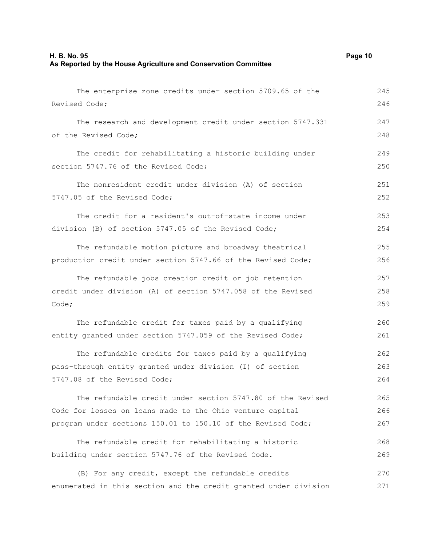| As Reported by the House Agriculture and Conservation Committee |     |
|-----------------------------------------------------------------|-----|
| The enterprise zone credits under section 5709.65 of the        | 245 |
| Revised Code;                                                   | 246 |
| The research and development credit under section 5747.331      | 247 |
| of the Revised Code;                                            | 248 |
| The credit for rehabilitating a historic building under         | 249 |
| section 5747.76 of the Revised Code;                            | 250 |
| The nonresident credit under division (A) of section            | 251 |
| 5747.05 of the Revised Code;                                    | 252 |
| The credit for a resident's out-of-state income under           | 253 |
| division (B) of section 5747.05 of the Revised Code;            | 254 |
| The refundable motion picture and broadway theatrical           | 255 |
| production credit under section 5747.66 of the Revised Code;    | 256 |
| The refundable jobs creation credit or job retention            | 257 |
| credit under division (A) of section 5747.058 of the Revised    | 258 |
| Code;                                                           | 259 |
| The refundable credit for taxes paid by a qualifying            | 260 |
| entity granted under section 5747.059 of the Revised Code;      | 261 |
| The refundable credits for taxes paid by a qualifying           | 262 |
| pass-through entity granted under division (I) of section       | 263 |
| 5747.08 of the Revised Code;                                    | 264 |
| The refundable credit under section 5747.80 of the Revised      | 265 |
| Code for losses on loans made to the Ohio venture capital       | 266 |
| program under sections 150.01 to 150.10 of the Revised Code;    | 267 |
| The refundable credit for rehabilitating a historic             | 268 |
| building under section 5747.76 of the Revised Code.             | 269 |
| (B) For any credit, except the refundable credits               | 270 |

enumerated in this section and the credit granted under division 271

**H. B. No. 95 Page 10**